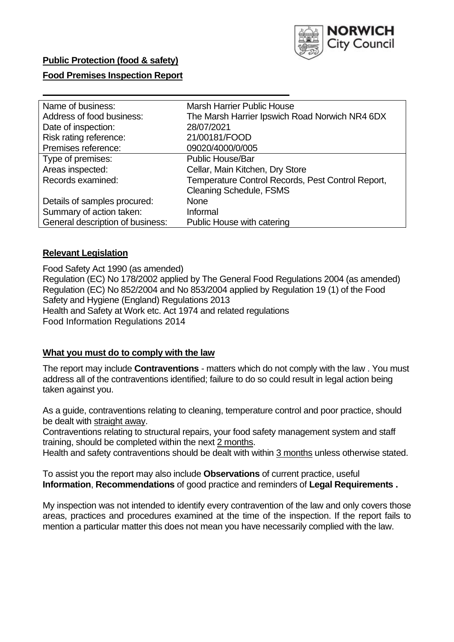

# **Public Protection (food & safety)**

### **Food Premises Inspection Report**

| Name of business:                | <b>Marsh Harrier Public House</b>                 |  |  |  |
|----------------------------------|---------------------------------------------------|--|--|--|
| Address of food business:        | The Marsh Harrier Ipswich Road Norwich NR4 6DX    |  |  |  |
| Date of inspection:              | 28/07/2021                                        |  |  |  |
| Risk rating reference:           | 21/00181/FOOD                                     |  |  |  |
| Premises reference:              | 09020/4000/0/005                                  |  |  |  |
| Type of premises:                | <b>Public House/Bar</b>                           |  |  |  |
| Areas inspected:                 | Cellar, Main Kitchen, Dry Store                   |  |  |  |
| Records examined:                | Temperature Control Records, Pest Control Report, |  |  |  |
|                                  | <b>Cleaning Schedule, FSMS</b>                    |  |  |  |
| Details of samples procured:     | <b>None</b>                                       |  |  |  |
| Summary of action taken:         | Informal                                          |  |  |  |
| General description of business: | Public House with catering                        |  |  |  |

### **Relevant Legislation**

 Food Safety Act 1990 (as amended) Regulation (EC) No 178/2002 applied by The General Food Regulations 2004 (as amended) Regulation (EC) No 852/2004 and No 853/2004 applied by Regulation 19 (1) of the Food Safety and Hygiene (England) Regulations 2013 Health and Safety at Work etc. Act 1974 and related regulations Food Information Regulations 2014

#### **What you must do to comply with the law**

 The report may include **Contraventions** - matters which do not comply with the law . You must address all of the contraventions identified; failure to do so could result in legal action being taken against you.

 As a guide, contraventions relating to cleaning, temperature control and poor practice, should be dealt with straight away.

 Contraventions relating to structural repairs, your food safety management system and staff training, should be completed within the next 2 months.

Health and safety contraventions should be dealt with within 3 months unless otherwise stated.

 To assist you the report may also include **Observations** of current practice, useful **Information**, **Recommendations** of good practice and reminders of **Legal Requirements .** 

 My inspection was not intended to identify every contravention of the law and only covers those areas, practices and procedures examined at the time of the inspection. If the report fails to mention a particular matter this does not mean you have necessarily complied with the law.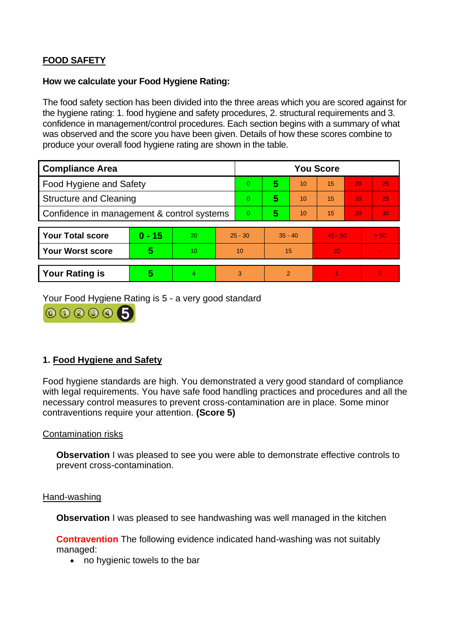# **FOOD SAFETY**

### **How we calculate your Food Hygiene Rating:**

 The food safety section has been divided into the three areas which you are scored against for the hygiene rating: 1. food hygiene and safety procedures, 2. structural requirements and 3. confidence in management/control procedures. Each section begins with a summary of what was observed and the score you have been given. Details of how these scores combine to produce your overall food hygiene rating are shown in the table.

| <b>Compliance Area</b>                     |          |    |           | <b>You Score</b> |                |    |           |    |                |  |  |
|--------------------------------------------|----------|----|-----------|------------------|----------------|----|-----------|----|----------------|--|--|
| Food Hygiene and Safety                    |          |    | $\Omega$  | 5                | 10             | 15 | 20        | 25 |                |  |  |
| <b>Structure and Cleaning</b>              |          |    | $\Omega$  | 5                | 10             | 15 | 20        | 25 |                |  |  |
| Confidence in management & control systems |          |    | $\Omega$  | 5                | 10             | 15 | 20        | 30 |                |  |  |
|                                            |          |    |           |                  |                |    |           |    |                |  |  |
| <b>Your Total score</b>                    | $0 - 15$ | 20 | $25 - 30$ |                  | $35 - 40$      |    | $45 - 50$ |    | > 50           |  |  |
| Your Worst score                           | 5        | 10 |           | 10               |                | 15 |           |    | $\blacksquare$ |  |  |
|                                            |          |    |           |                  |                |    |           |    |                |  |  |
| <b>Your Rating is</b>                      | 5        | 4  | 3         |                  | $\overline{2}$ |    |           |    | $\Omega$       |  |  |

Your Food Hygiene Rating is 5 - a very good standard



# **1. Food Hygiene and Safety**

 with legal requirements. You have safe food handling practices and procedures and all the Food hygiene standards are high. You demonstrated a very good standard of compliance necessary control measures to prevent cross-contamination are in place. Some minor contraventions require your attention. **(Score 5)** 

# Contamination risks

**Observation** I was pleased to see you were able to demonstrate effective controls to prevent cross-contamination.

### Hand-washing

**Observation** I was pleased to see handwashing was well managed in the kitchen

**Contravention** The following evidence indicated hand-washing was not suitably managed:

• no hygienic towels to the bar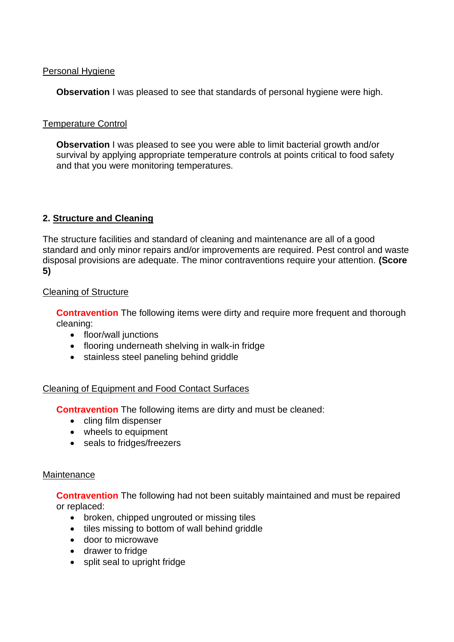# Personal Hygiene

**Observation** I was pleased to see that standards of personal hygiene were high.

# Temperature Control

**Observation** I was pleased to see you were able to limit bacterial growth and/or survival by applying appropriate temperature controls at points critical to food safety and that you were monitoring temperatures.

# **2. Structure and Cleaning**

 The structure facilities and standard of cleaning and maintenance are all of a good standard and only minor repairs and/or improvements are required. Pest control and waste disposal provisions are adequate. The minor contraventions require your attention. **(Score 5)** 

# Cleaning of Structure

**Contravention** The following items were dirty and require more frequent and thorough cleaning:

- floor/wall junctions
- flooring underneath shelving in walk-in fridge
- stainless steel paneling behind griddle

# Cleaning of Equipment and Food Contact Surfaces

**Contravention** The following items are dirty and must be cleaned:

- cling film dispenser
- wheels to equipment
- seals to fridges/freezers

# **Maintenance**

**Contravention** The following had not been suitably maintained and must be repaired or replaced:

- broken, chipped ungrouted or missing tiles
- tiles missing to bottom of wall behind griddle
- door to microwave
- drawer to fridge
- split seal to upright fridge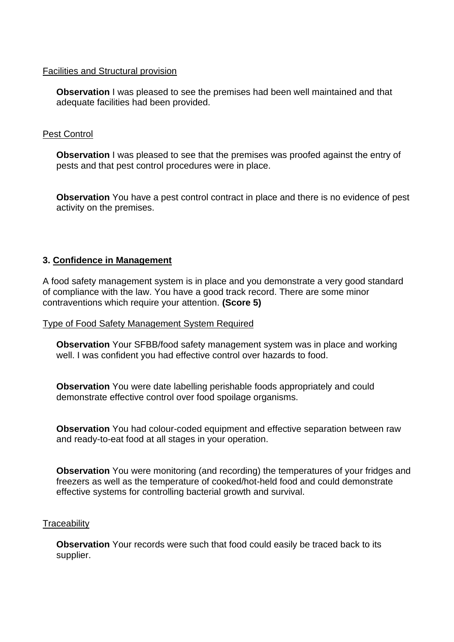### Facilities and Structural provision

 **Observation** I was pleased to see the premises had been well maintained and that adequate facilities had been provided.

# Pest Control

**Observation** I was pleased to see that the premises was proofed against the entry of pests and that pest control procedures were in place.

 **Observation** You have a pest control contract in place and there is no evidence of pest activity on the premises.

# **3. Confidence in Management**

A food safety management system is in place and you demonstrate a very good standard of compliance with the law. You have a good track record. There are some minor contraventions which require your attention. **(Score 5)** 

#### Type of Food Safety Management System Required

**Observation** Your SFBB/food safety management system was in place and working well. I was confident you had effective control over hazards to food.

**Observation** You were date labelling perishable foods appropriately and could demonstrate effective control over food spoilage organisms.

**Observation** You had colour-coded equipment and effective separation between raw and ready-to-eat food at all stages in your operation.

**Observation** You were monitoring (and recording) the temperatures of your fridges and freezers as well as the temperature of cooked/hot-held food and could demonstrate effective systems for controlling bacterial growth and survival.

#### **Traceability**

**Observation** Your records were such that food could easily be traced back to its supplier.